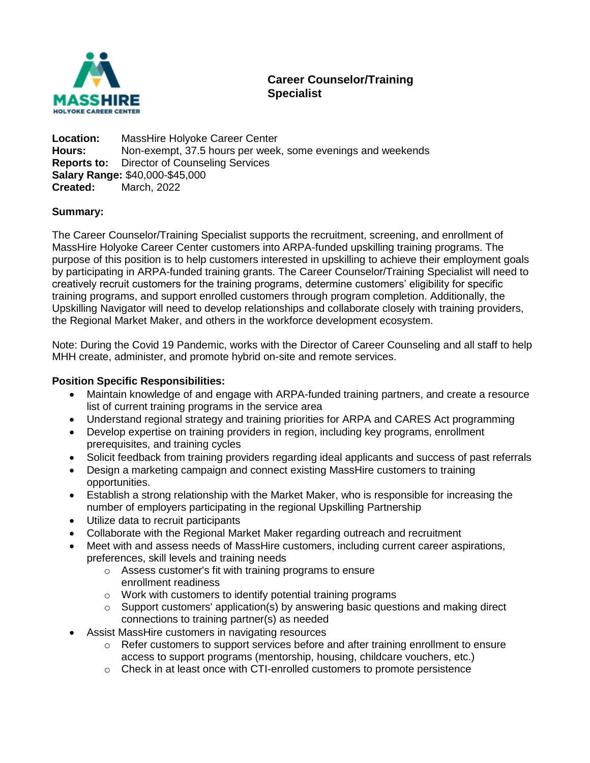

# **Career Counselor/Training Specialist**

**Location:** MassHire Holyoke Career Center **Hours:** Non-exempt, 37.5 hours per week, some evenings and weekends **Reports to:** Director of Counseling Services **Salary Range:** \$40,000-\$45,000 **Created:** March, 2022

### **Summary:**

The Career Counselor/Training Specialist supports the recruitment, screening, and enrollment of MassHire Holyoke Career Center customers into ARPA-funded upskilling training programs. The purpose of this position is to help customers interested in upskilling to achieve their employment goals by participating in ARPA-funded training grants. The Career Counselor/Training Specialist will need to creatively recruit customers for the training programs, determine customers' eligibility for specific training programs, and support enrolled customers through program completion. Additionally, the Upskilling Navigator will need to develop relationships and collaborate closely with training providers, the Regional Market Maker, and others in the workforce development ecosystem.

Note: During the Covid 19 Pandemic, works with the Director of Career Counseling and all staff to help MHH create, administer, and promote hybrid on-site and remote services.

#### **Position Specific Responsibilities:**

- Maintain knowledge of and engage with ARPA-funded training partners, and create a resource list of current training programs in the service area
- Understand regional strategy and training priorities for ARPA and CARES Act programming
- Develop expertise on training providers in region, including key programs, enrollment prerequisites, and training cycles
- Solicit feedback from training providers regarding ideal applicants and success of past referrals
- Design a marketing campaign and connect existing MassHire customers to training opportunities.
- Establish a strong relationship with the Market Maker, who is responsible for increasing the number of employers participating in the regional Upskilling Partnership
- Utilize data to recruit participants
- Collaborate with the Regional Market Maker regarding outreach and recruitment
- Meet with and assess needs of MassHire customers, including current career aspirations, preferences, skill levels and training needs
	- o Assess customer's fit with training programs to ensure enrollment readiness
	- $\circ$  Work with customers to identify potential training programs
	- $\circ$  Support customers' application(s) by answering basic questions and making direct connections to training partner(s) as needed
- Assist MassHire customers in navigating resources
	- $\circ$  Refer customers to support services before and after training enrollment to ensure access to support programs (mentorship, housing, childcare vouchers, etc.)
	- $\circ$  Check in at least once with CTI-enrolled customers to promote persistence